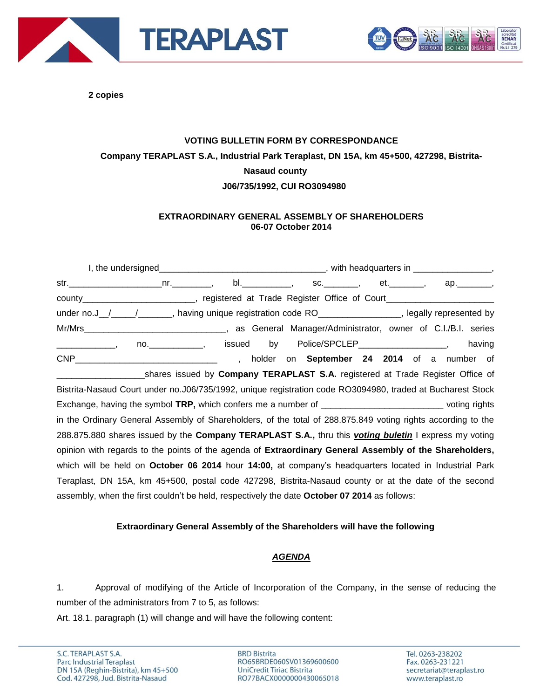



**2 copies**

# **VOTING BULLETIN FORM BY CORRESPONDANCE Company TERAPLAST S.A., Industrial Park Teraplast, DN 15A, km 45+500, 427298, Bistrita-Nasaud county J06/735/1992, CUI RO3094980**

### **EXTRAORDINARY GENERAL ASSEMBLY OF SHAREHOLDERS 06-07 October 2014**

|                                                                                                                      |  |                                                                                |  |  |  |  |  | bl. ___________, sc. _______, et. _______, ap. _______, |
|----------------------------------------------------------------------------------------------------------------------|--|--------------------------------------------------------------------------------|--|--|--|--|--|---------------------------------------------------------|
| county_________________________, registered at Trade Register Office of Court______________________                  |  |                                                                                |  |  |  |  |  |                                                         |
| under no.J_/___/_________, having unique registration code RO_________________, legally represented by               |  |                                                                                |  |  |  |  |  |                                                         |
|                                                                                                                      |  |                                                                                |  |  |  |  |  |                                                         |
|                                                                                                                      |  |                                                                                |  |  |  |  |  | having                                                  |
|                                                                                                                      |  |                                                                                |  |  |  |  |  | , holder on September 24 2014 of a number of            |
|                                                                                                                      |  | shares issued by Company TERAPLAST S.A. registered at Trade Register Office of |  |  |  |  |  |                                                         |
| Bistrita-Nasaud Court under no.J06/735/1992, unique registration code RO3094980, traded at Bucharest Stock           |  |                                                                                |  |  |  |  |  |                                                         |
| Exchange, having the symbol TRP, which confers me a number of _________________________________voting rights         |  |                                                                                |  |  |  |  |  |                                                         |
| in the Ordinary General Assembly of Shareholders, of the total of 288.875.849 voting rights according to the         |  |                                                                                |  |  |  |  |  |                                                         |
| 288.875.880 shares issued by the <b>Company TERAPLAST S.A.</b> , thru this <i>voting buletin</i> I express my voting |  |                                                                                |  |  |  |  |  |                                                         |
| opinion with regards to the points of the agenda of Extraordinary General Assembly of the Shareholders,              |  |                                                                                |  |  |  |  |  |                                                         |
| which will be held on October 06 2014 hour 14:00, at company's headquarters located in Industrial Park               |  |                                                                                |  |  |  |  |  |                                                         |
| Teraplast, DN 15A, km 45+500, postal code 427298, Bistrita-Nasaud county or at the date of the second                |  |                                                                                |  |  |  |  |  |                                                         |
| assembly, when the first couldn't be held, respectively the date October 07 2014 as follows:                         |  |                                                                                |  |  |  |  |  |                                                         |

#### **Extraordinary General Assembly of the Shareholders will have the following**

#### *AGENDA*

1. Approval of modifying of the Article of Incorporation of the Company, in the sense of reducing the number of the administrators from 7 to 5, as follows:

Art. 18.1. paragraph (1) will change and will have the following content:

**BRD Bistrita** RO65BRDE060SV01369600600 UniCredit Tiriac Bistrita RO77BACX0000000430065018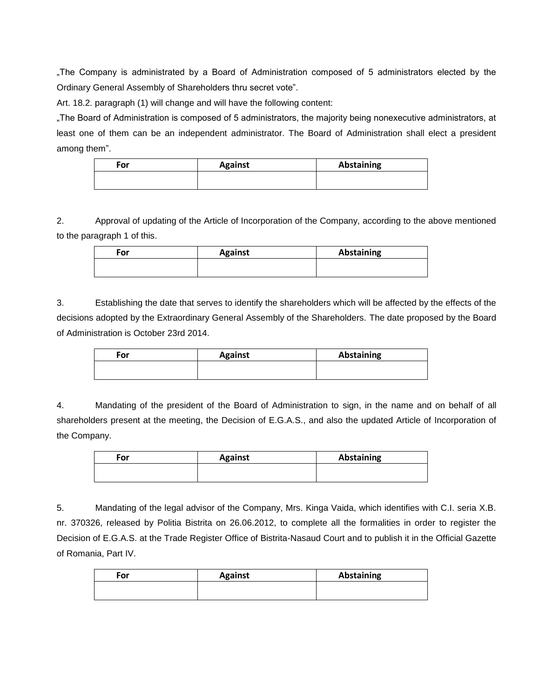"The Company is administrated by a Board of Administration composed of 5 administrators elected by the Ordinary General Assembly of Shareholders thru secret vote".

Art. 18.2. paragraph (1) will change and will have the following content:

"The Board of Administration is composed of 5 administrators, the majority being nonexecutive administrators, at least one of them can be an independent administrator. The Board of Administration shall elect a president among them".

| For | <b>Against</b> | <b>Abstaining</b> |
|-----|----------------|-------------------|
|     |                |                   |

2. Approval of updating of the Article of Incorporation of the Company, according to the above mentioned to the paragraph 1 of this.

| For | <b>Against</b> | Abstaining |  |  |
|-----|----------------|------------|--|--|
|     |                |            |  |  |

3. Establishing the date that serves to identify the shareholders which will be affected by the effects of the decisions adopted by the Extraordinary General Assembly of the Shareholders. The date proposed by the Board of Administration is October 23rd 2014.

| For | <b>Against</b> | <b>Abstaining</b> |
|-----|----------------|-------------------|
|     |                |                   |

4. Mandating of the president of the Board of Administration to sign, in the name and on behalf of all shareholders present at the meeting, the Decision of E.G.A.S., and also the updated Article of Incorporation of the Company.

| <b>For</b> | <b>Against</b> | <b>Abstaining</b> |  |  |
|------------|----------------|-------------------|--|--|
|            |                |                   |  |  |

5. Mandating of the legal advisor of the Company, Mrs. Kinga Vaida, which identifies with C.I. seria X.B. nr. 370326, released by Politia Bistrita on 26.06.2012, to complete all the formalities in order to register the Decision of E.G.A.S. at the Trade Register Office of Bistrita-Nasaud Court and to publish it in the Official Gazette of Romania, Part IV.

| For | <b>Against</b> | <b>Abstaining</b> |
|-----|----------------|-------------------|
|     |                |                   |